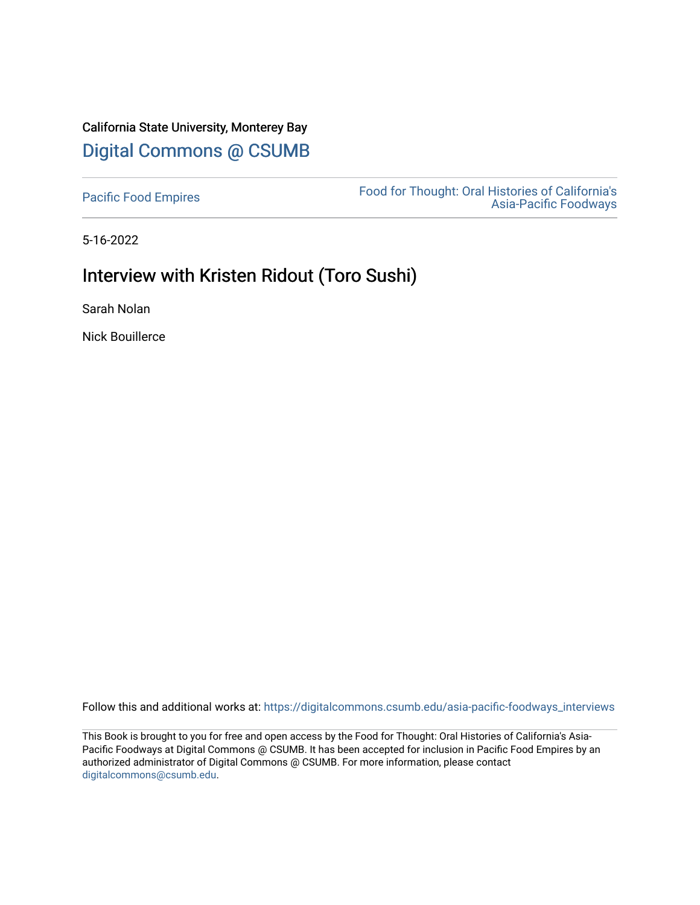# California State University, Monterey Bay [Digital Commons @ CSUMB](https://digitalcommons.csumb.edu/)

[Pacific Food Empires](https://digitalcommons.csumb.edu/asia-pacific-foodways_interviews) Food for Thought: Oral Histories of California's [Asia-Pacific Foodways](https://digitalcommons.csumb.edu/asia-pacific-foodways) 

5-16-2022

# Interview with Kristen Ridout (Toro Sushi)

Sarah Nolan

Nick Bouillerce

Follow this and additional works at: [https://digitalcommons.csumb.edu/asia-pacific-foodways\\_interviews](https://digitalcommons.csumb.edu/asia-pacific-foodways_interviews?utm_source=digitalcommons.csumb.edu%2Fasia-pacific-foodways_interviews%2F14&utm_medium=PDF&utm_campaign=PDFCoverPages) 

This Book is brought to you for free and open access by the Food for Thought: Oral Histories of California's Asia-Pacific Foodways at Digital Commons @ CSUMB. It has been accepted for inclusion in Pacific Food Empires by an authorized administrator of Digital Commons @ CSUMB. For more information, please contact [digitalcommons@csumb.edu](mailto:digitalcommons@csumb.edu).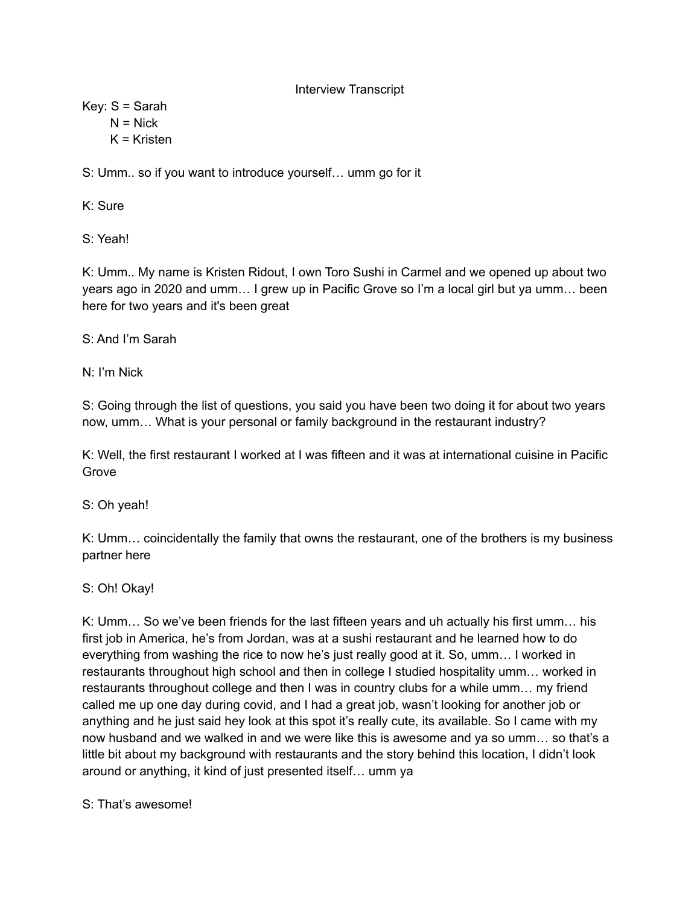Interview Transcript

Key: S = Sarah  $N = Nick$ 

 $K =$ Kristen

S: Umm.. so if you want to introduce yourself… umm go for it

K: Sure

S: Yeah!

K: Umm.. My name is Kristen Ridout, I own Toro Sushi in Carmel and we opened up about two years ago in 2020 and umm… I grew up in Pacific Grove so I'm a local girl but ya umm… been here for two years and it's been great

S: And I'm Sarah

N: I'm Nick

S: Going through the list of questions, you said you have been two doing it for about two years now, umm… What is your personal or family background in the restaurant industry?

K: Well, the first restaurant I worked at I was fifteen and it was at international cuisine in Pacific Grove

S: Oh yeah!

K: Umm… coincidentally the family that owns the restaurant, one of the brothers is my business partner here

S: Oh! Okay!

K: Umm… So we've been friends for the last fifteen years and uh actually his first umm… his first job in America, he's from Jordan, was at a sushi restaurant and he learned how to do everything from washing the rice to now he's just really good at it. So, umm… I worked in restaurants throughout high school and then in college I studied hospitality umm… worked in restaurants throughout college and then I was in country clubs for a while umm… my friend called me up one day during covid, and I had a great job, wasn't looking for another job or anything and he just said hey look at this spot it's really cute, its available. So I came with my now husband and we walked in and we were like this is awesome and ya so umm… so that's a little bit about my background with restaurants and the story behind this location, I didn't look around or anything, it kind of just presented itself… umm ya

S: That's awesome!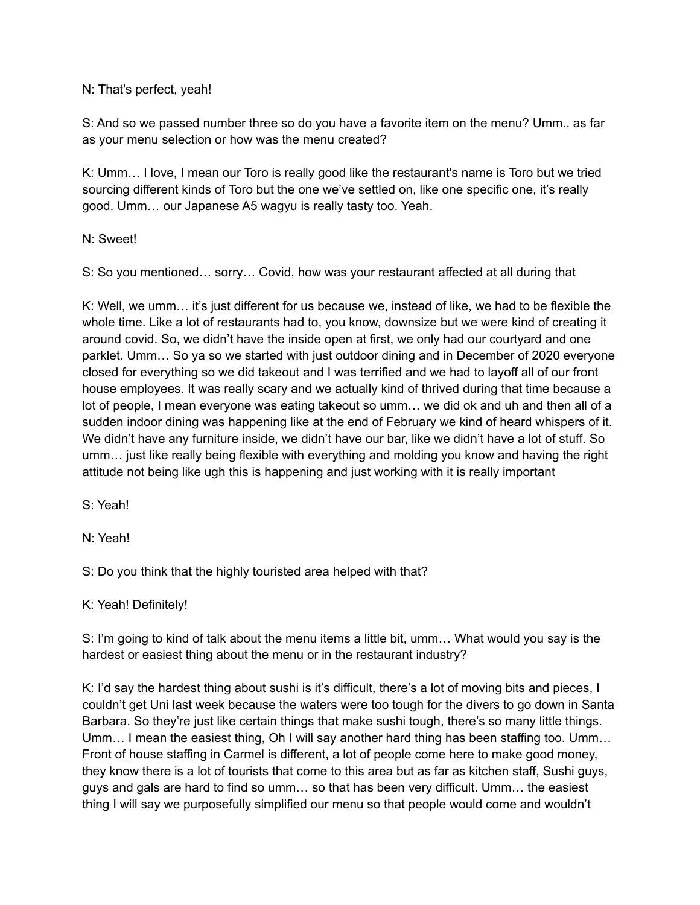### N: That's perfect, yeah!

S: And so we passed number three so do you have a favorite item on the menu? Umm.. as far as your menu selection or how was the menu created?

K: Umm… I love, I mean our Toro is really good like the restaurant's name is Toro but we tried sourcing different kinds of Toro but the one we've settled on, like one specific one, it's really good. Umm… our Japanese A5 wagyu is really tasty too. Yeah.

N: Sweet!

S: So you mentioned… sorry… Covid, how was your restaurant affected at all during that

K: Well, we umm… it's just different for us because we, instead of like, we had to be flexible the whole time. Like a lot of restaurants had to, you know, downsize but we were kind of creating it around covid. So, we didn't have the inside open at first, we only had our courtyard and one parklet. Umm… So ya so we started with just outdoor dining and in December of 2020 everyone closed for everything so we did takeout and I was terrified and we had to layoff all of our front house employees. It was really scary and we actually kind of thrived during that time because a lot of people, I mean everyone was eating takeout so umm… we did ok and uh and then all of a sudden indoor dining was happening like at the end of February we kind of heard whispers of it. We didn't have any furniture inside, we didn't have our bar, like we didn't have a lot of stuff. So umm… just like really being flexible with everything and molding you know and having the right attitude not being like ugh this is happening and just working with it is really important

S: Yeah!

N: Yeah!

S: Do you think that the highly touristed area helped with that?

### K: Yeah! Definitely!

S: I'm going to kind of talk about the menu items a little bit, umm… What would you say is the hardest or easiest thing about the menu or in the restaurant industry?

K: I'd say the hardest thing about sushi is it's difficult, there's a lot of moving bits and pieces, I couldn't get Uni last week because the waters were too tough for the divers to go down in Santa Barbara. So they're just like certain things that make sushi tough, there's so many little things. Umm… I mean the easiest thing, Oh I will say another hard thing has been staffing too. Umm… Front of house staffing in Carmel is different, a lot of people come here to make good money, they know there is a lot of tourists that come to this area but as far as kitchen staff, Sushi guys, guys and gals are hard to find so umm… so that has been very difficult. Umm… the easiest thing I will say we purposefully simplified our menu so that people would come and wouldn't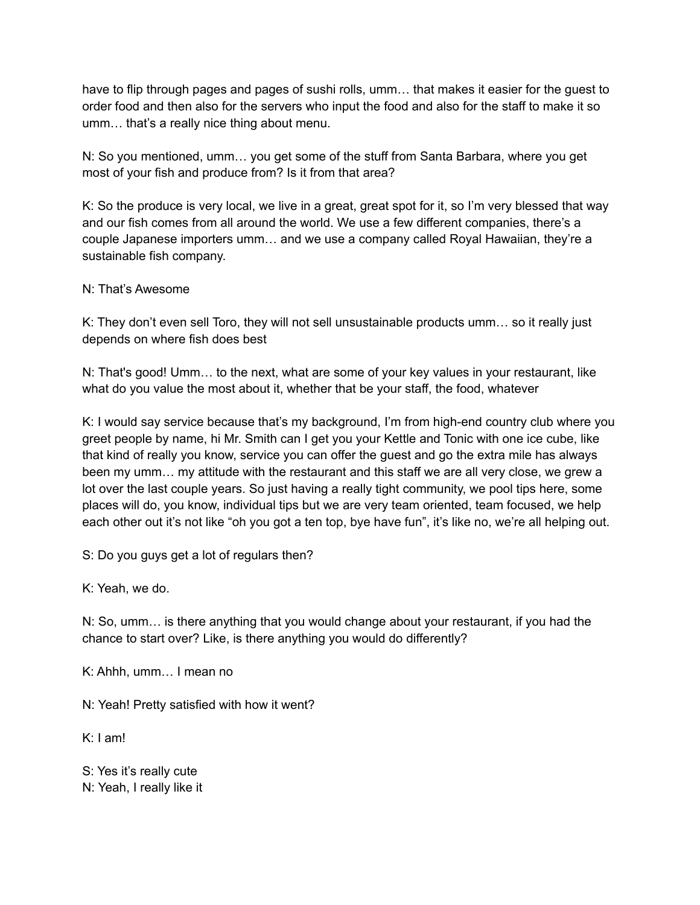have to flip through pages and pages of sushi rolls, umm… that makes it easier for the guest to order food and then also for the servers who input the food and also for the staff to make it so umm… that's a really nice thing about menu.

N: So you mentioned, umm… you get some of the stuff from Santa Barbara, where you get most of your fish and produce from? Is it from that area?

K: So the produce is very local, we live in a great, great spot for it, so I'm very blessed that way and our fish comes from all around the world. We use a few different companies, there's a couple Japanese importers umm… and we use a company called Royal Hawaiian, they're a sustainable fish company.

### N: That's Awesome

K: They don't even sell Toro, they will not sell unsustainable products umm… so it really just depends on where fish does best

N: That's good! Umm… to the next, what are some of your key values in your restaurant, like what do you value the most about it, whether that be your staff, the food, whatever

K: I would say service because that's my background, I'm from high-end country club where you greet people by name, hi Mr. Smith can I get you your Kettle and Tonic with one ice cube, like that kind of really you know, service you can offer the guest and go the extra mile has always been my umm… my attitude with the restaurant and this staff we are all very close, we grew a lot over the last couple years. So just having a really tight community, we pool tips here, some places will do, you know, individual tips but we are very team oriented, team focused, we help each other out it's not like "oh you got a ten top, bye have fun", it's like no, we're all helping out.

S: Do you guys get a lot of regulars then?

K: Yeah, we do.

N: So, umm… is there anything that you would change about your restaurant, if you had the chance to start over? Like, is there anything you would do differently?

K: Ahhh, umm… I mean no

N: Yeah! Pretty satisfied with how it went?

K: I am!

S: Yes it's really cute N: Yeah, I really like it